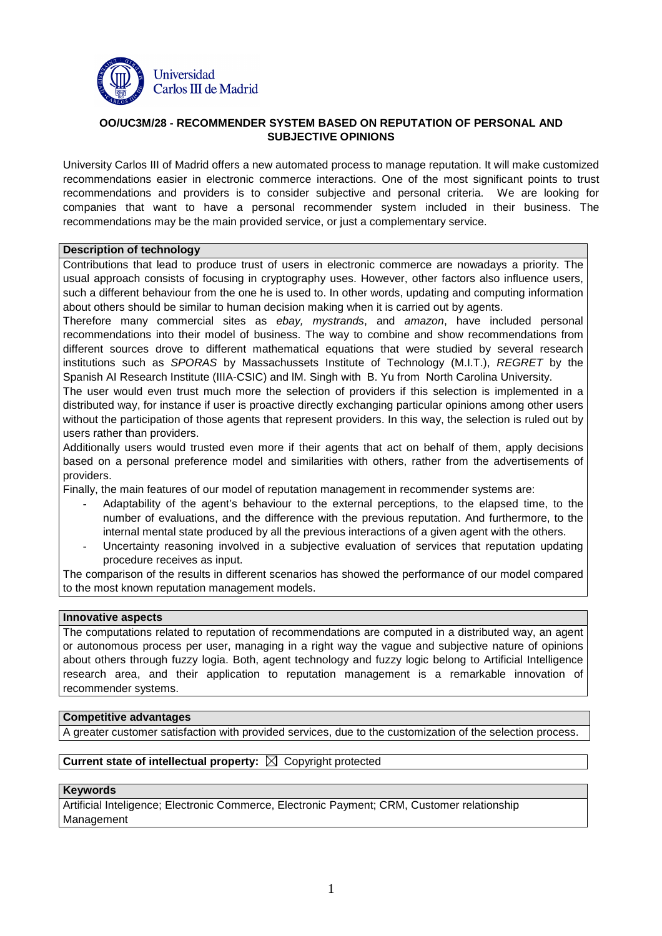

## **OO/UC3M/28 - RECOMMENDER SYSTEM BASED ON REPUTATION OF PERSONAL AND SUBJECTIVE OPINIONS**

University Carlos III of Madrid offers a new automated process to manage reputation. It will make customized recommendations easier in electronic commerce interactions. One of the most significant points to trust recommendations and providers is to consider subjective and personal criteria. We are looking for companies that want to have a personal recommender system included in their business. The recommendations may be the main provided service, or just a complementary service.

#### **Description of technology**

Contributions that lead to produce trust of users in electronic commerce are nowadays a priority. The usual approach consists of focusing in cryptography uses. However, other factors also influence users, such a different behaviour from the one he is used to. In other words, updating and computing information about others should be similar to human decision making when it is carried out by agents.

Therefore many commercial sites as ebay, mystrands, and amazon, have included personal recommendations into their model of business. The way to combine and show recommendations from different sources drove to different mathematical equations that were studied by several research institutions such as SPORAS by Massachussets Institute of Technology (M.I.T.), REGRET by the Spanish AI Research Institute (IIIA-CSIC) and lM. Singh with B. Yu from North Carolina University.

The user would even trust much more the selection of providers if this selection is implemented in a distributed way, for instance if user is proactive directly exchanging particular opinions among other users without the participation of those agents that represent providers. In this way, the selection is ruled out by users rather than providers.

Additionally users would trusted even more if their agents that act on behalf of them, apply decisions based on a personal preference model and similarities with others, rather from the advertisements of providers.

Finally, the main features of our model of reputation management in recommender systems are:

- Adaptability of the agent's behaviour to the external perceptions, to the elapsed time, to the number of evaluations, and the difference with the previous reputation. And furthermore, to the internal mental state produced by all the previous interactions of a given agent with the others.
- Uncertainty reasoning involved in a subjective evaluation of services that reputation updating procedure receives as input.

The comparison of the results in different scenarios has showed the performance of our model compared to the most known reputation management models.

#### **Innovative aspects**

The computations related to reputation of recommendations are computed in a distributed way, an agent or autonomous process per user, managing in a right way the vague and subjective nature of opinions about others through fuzzy logia. Both, agent technology and fuzzy logic belong to Artificial Intelligence research area, and their application to reputation management is a remarkable innovation of recommender systems.

## **Competitive advantages**

A greater customer satisfaction with provided services, due to the customization of the selection process.

# **Current state of intellectual property:**  $\boxtimes$  Copyright protected

## **Keywords**

Artificial Inteligence; Electronic Commerce, Electronic Payment; CRM, Customer relationship Management